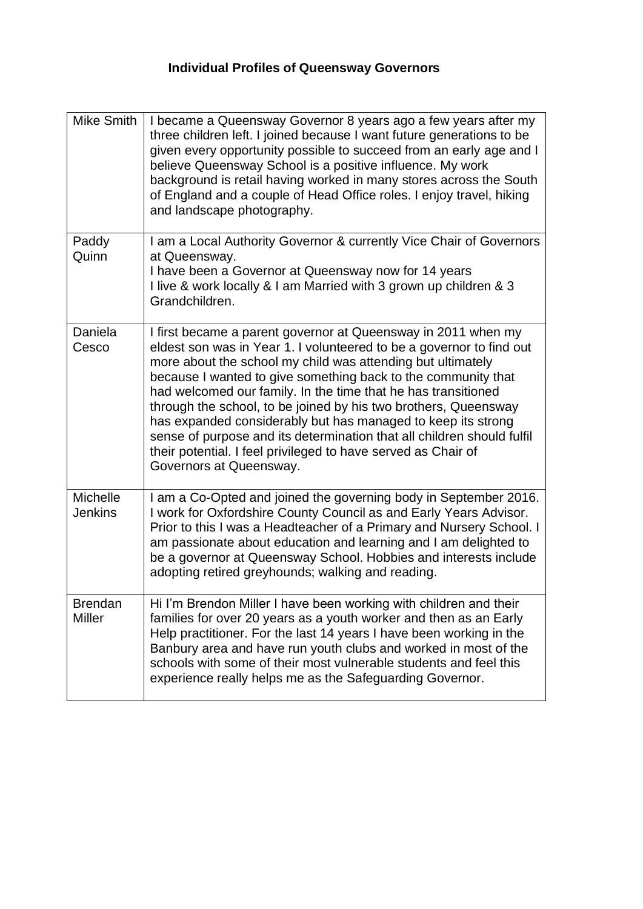## **Individual Profiles of Queensway Governors**

| <b>Mike Smith</b>                 | I became a Queensway Governor 8 years ago a few years after my<br>three children left. I joined because I want future generations to be<br>given every opportunity possible to succeed from an early age and I<br>believe Queensway School is a positive influence. My work<br>background is retail having worked in many stores across the South<br>of England and a couple of Head Office roles. I enjoy travel, hiking<br>and landscape photography.                                                                                                                                                                                         |
|-----------------------------------|-------------------------------------------------------------------------------------------------------------------------------------------------------------------------------------------------------------------------------------------------------------------------------------------------------------------------------------------------------------------------------------------------------------------------------------------------------------------------------------------------------------------------------------------------------------------------------------------------------------------------------------------------|
| Paddy<br>Quinn                    | I am a Local Authority Governor & currently Vice Chair of Governors<br>at Queensway.<br>I have been a Governor at Queensway now for 14 years<br>I live & work locally & I am Married with 3 grown up children & 3<br>Grandchildren.                                                                                                                                                                                                                                                                                                                                                                                                             |
| Daniela<br>Cesco                  | I first became a parent governor at Queensway in 2011 when my<br>eldest son was in Year 1. I volunteered to be a governor to find out<br>more about the school my child was attending but ultimately<br>because I wanted to give something back to the community that<br>had welcomed our family. In the time that he has transitioned<br>through the school, to be joined by his two brothers, Queensway<br>has expanded considerably but has managed to keep its strong<br>sense of purpose and its determination that all children should fulfil<br>their potential. I feel privileged to have served as Chair of<br>Governors at Queensway. |
| <b>Michelle</b><br><b>Jenkins</b> | I am a Co-Opted and joined the governing body in September 2016.<br>I work for Oxfordshire County Council as and Early Years Advisor.<br>Prior to this I was a Headteacher of a Primary and Nursery School. I<br>am passionate about education and learning and I am delighted to<br>be a governor at Queensway School. Hobbies and interests include<br>adopting retired greyhounds; walking and reading.                                                                                                                                                                                                                                      |
| <b>Brendan</b><br><b>Miller</b>   | Hi I'm Brendon Miller I have been working with children and their<br>families for over 20 years as a youth worker and then as an Early<br>Help practitioner. For the last 14 years I have been working in the<br>Banbury area and have run youth clubs and worked in most of the<br>schools with some of their most vulnerable students and feel this<br>experience really helps me as the Safeguarding Governor.                                                                                                                                                                                                                               |